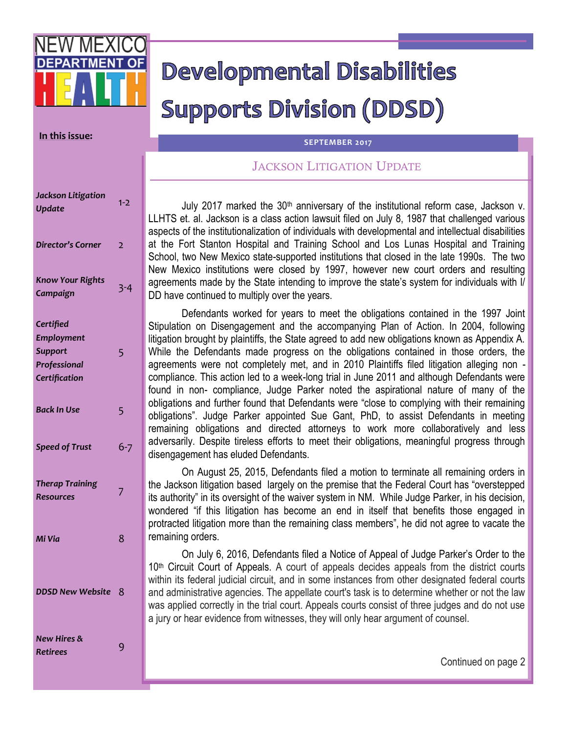# Developmental Disabilities **Supports Division (DDSD)**

### **In this issue:**

#### **SEPTEMBER 2017**

# JACKSON LITIGATION UPDATE

July 2017 marked the 30<sup>th</sup> anniversary of the institutional reform case, Jackson v. LLHTS et. al. Jackson is a class action lawsuit filed on July 8, 1987 that challenged various aspects of the institutionalization of individuals with developmental and intellectual disabilities at the Fort Stanton Hospital and Training School and Los Lunas Hospital and Training School, two New Mexico state-supported institutions that closed in the late 1990s. The two New Mexico institutions were closed by 1997, however new court orders and resulting agreements made by the State intending to improve the state's system for individuals with I/ DD have continued to multiply over the years.

Defendants worked for years to meet the obligations contained in the 1997 Joint Stipulation on Disengagement and the accompanying Plan of Action. In 2004, following litigation brought by plaintiffs, the State agreed to add new obligations known as Appendix A. While the Defendants made progress on the obligations contained in those orders, the agreements were not completely met, and in 2010 Plaintiffs filed litigation alleging non compliance. This action led to a week-long trial in June 2011 and although Defendants were found in non- compliance, Judge Parker noted the aspirational nature of many of the obligations and further found that Defendants were "close to complying with their remaining obligations". Judge Parker appointed Sue Gant, PhD, to assist Defendants in meeting remaining obligations and directed attorneys to work more collaboratively and less adversarily. Despite tireless efforts to meet their obligations, meaningful progress through disengagement has eluded Defendants.

On August 25, 2015, Defendants filed a motion to terminate all remaining orders in the Jackson litigation based largely on the premise that the Federal Court has "overstepped its authority" in its oversight of the waiver system in NM. While Judge Parker, in his decision, wondered "if this litigation has become an end in itself that benefits those engaged in protracted litigation more than the remaining class members", he did not agree to vacate the remaining orders.

On July 6, 2016, Defendants filed a Notice of Appeal of Judge Parker's Order to the 10<sup>th</sup> Circuit Court of Appeals. A court of appeals decides appeals from the district courts within its federal judicial circuit, and in some instances from other designated federal courts and administrative agencies. The appellate court's task is to determine whether or not the law was applied correctly in the trial court. Appeals courts consist of three judges and do not use a jury or hear evidence from witnesses, they will only hear argument of counsel.

| <b>Jackson Litigation</b><br><b>Update</b> | $1 - 2$        |
|--------------------------------------------|----------------|
| <b>Director's Corner</b>                   | $\overline{2}$ |
| <b>Know Your Rights</b><br>Campaign        | $3 - 4$        |
| Certified<br><b>Employment</b>             |                |
| <b>Support</b>                             | 5              |
| Professional                               |                |
| Certification                              |                |
| <b>Back In Use</b>                         | 5              |
| <b>Speed of Trust</b>                      | 6-7            |
| <b>Therap Training</b><br><b>Resources</b> | 7              |
| Mi Via                                     | 8              |
| <b>DDSD New Website</b>                    | 8              |
| New Hires &<br><b>Retirees</b>             | 9              |

Continued on page 2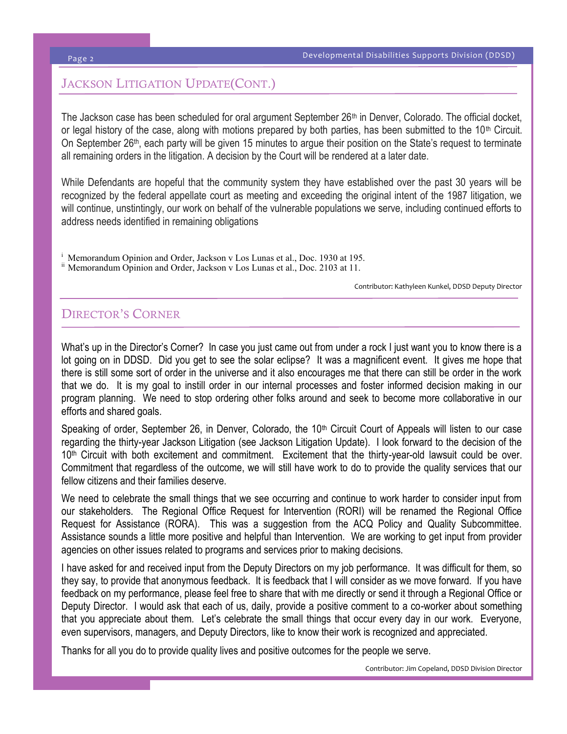#### Page 2

# JACKSON LITIGATION UPDATE(CONT.)

The Jackson case has been scheduled for oral argument September 26<sup>th</sup> in Denver, Colorado. The official docket, or legal history of the case, along with motions prepared by both parties, has been submitted to the  $10<sup>th</sup>$  Circuit. On September 26th, each party will be given 15 minutes to argue their position on the State's request to terminate all remaining orders in the litigation. A decision by the Court will be rendered at a later date.

While Defendants are hopeful that the community system they have established over the past 30 years will be recognized by the federal appellate court as meeting and exceeding the original intent of the 1987 litigation, we will continue, unstintingly, our work on behalf of the vulnerable populations we serve, including continued efforts to address needs identified in remaining obligations

Memorandum Opinion and Order, Jackson v Los Lunas et al., Doc. 1930 at 195. ii Memorandum Opinion and Order, Jackson v Los Lunas et al., Doc. 2103 at 11.

Contributor: Kathyleen Kunkel, DDSD Deputy Director

### DIRECTOR'S CORNER

What's up in the Director's Corner? In case you just came out from under a rock I just want you to know there is a lot going on in DDSD. Did you get to see the solar eclipse? It was a magnificent event. It gives me hope that there is still some sort of order in the universe and it also encourages me that there can still be order in the work that we do. It is my goal to instill order in our internal processes and foster informed decision making in our program planning. We need to stop ordering other folks around and seek to become more collaborative in our efforts and shared goals.

Speaking of order, September 26, in Denver, Colorado, the 10<sup>th</sup> Circuit Court of Appeals will listen to our case regarding the thirty-year Jackson Litigation (see Jackson Litigation Update). I look forward to the decision of the 10<sup>th</sup> Circuit with both excitement and commitment. Excitement that the thirty-year-old lawsuit could be over. Commitment that regardless of the outcome, we will still have work to do to provide the quality services that our fellow citizens and their families deserve.

We need to celebrate the small things that we see occurring and continue to work harder to consider input from our stakeholders. The Regional Office Request for Intervention (RORI) will be renamed the Regional Office Request for Assistance (RORA). This was a suggestion from the ACQ Policy and Quality Subcommittee. Assistance sounds a little more positive and helpful than Intervention. We are working to get input from provider agencies on other issues related to programs and services prior to making decisions.

I have asked for and received input from the Deputy Directors on my job performance. It was difficult for them, so they say, to provide that anonymous feedback. It is feedback that I will consider as we move forward. If you have feedback on my performance, please feel free to share that with me directly or send it through a Regional Office or Deputy Director. I would ask that each of us, daily, provide a positive comment to a co-worker about something that you appreciate about them. Let's celebrate the small things that occur every day in our work. Everyone, even supervisors, managers, and Deputy Directors, like to know their work is recognized and appreciated.

Thanks for all you do to provide quality lives and positive outcomes for the people we serve.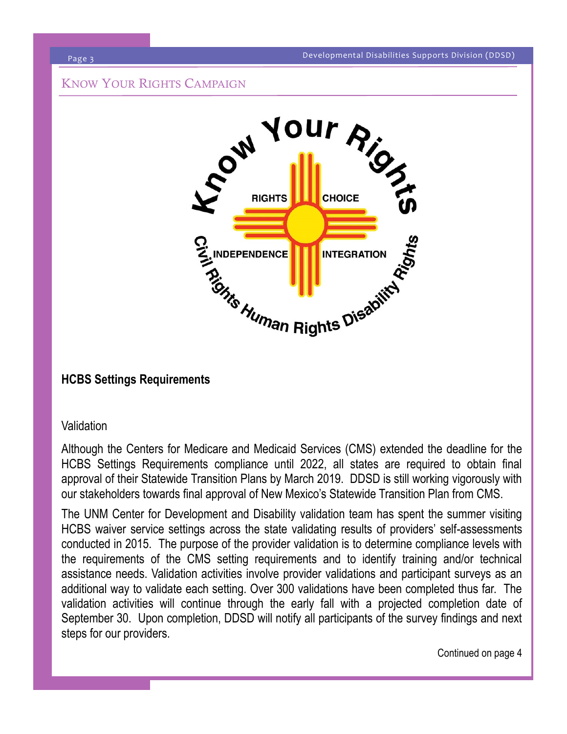# KNOW YOUR RIGHTS CAMPAIGN



# **HCBS Settings Requirements**

# **Validation**

Although the Centers for Medicare and Medicaid Services (CMS) extended the deadline for the HCBS Settings Requirements compliance until 2022, all states are required to obtain final approval of their Statewide Transition Plans by March 2019. DDSD is still working vigorously with our stakeholders towards final approval of New Mexico's Statewide Transition Plan from CMS.

The UNM Center for Development and Disability validation team has spent the summer visiting HCBS waiver service settings across the state validating results of providers' self-assessments conducted in 2015. The purpose of the provider validation is to determine compliance levels with the requirements of the CMS setting requirements and to identify training and/or technical assistance needs. Validation activities involve provider validations and participant surveys as an additional way to validate each setting. Over 300 validations have been completed thus far. The validation activities will continue through the early fall with a projected completion date of September 30. Upon completion, DDSD will notify all participants of the survey findings and next steps for our providers.

Continued on page 4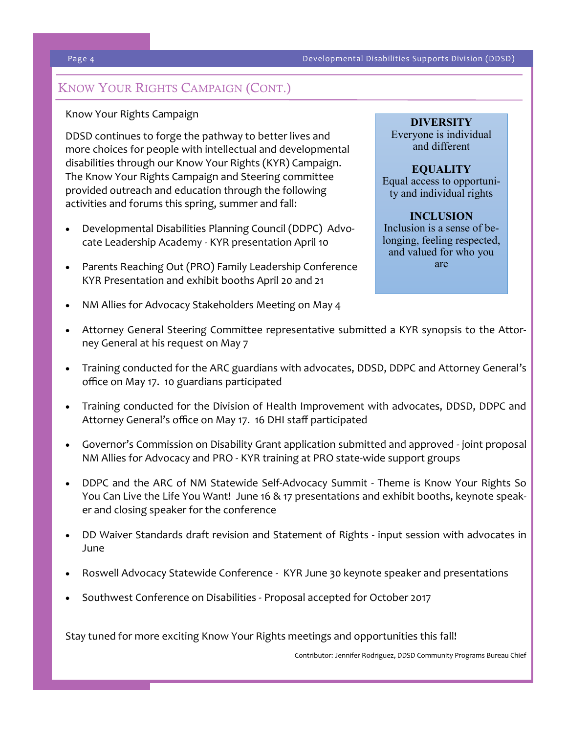# KNOW YOUR RIGHTS CAMPAIGN (CONT.)

# Know Your Rights Campaign

DDSD continues to forge the pathway to better lives and more choices for people with intellectual and developmental disabilities through our Know Your Rights (KYR) Campaign. The Know Your Rights Campaign and Steering committee provided outreach and education through the following activities and forums this spring, summer and fall:

- Developmental Disabilities Planning Council (DDPC) Advocate Leadership Academy - KYR presentation April 10
- Parents Reaching Out (PRO) Family Leadership Conference KYR Presentation and exhibit booths April 20 and 21

# **DIVERSITY**

Everyone is individual and different

# **EQUALITY** Equal access to opportunity and individual rights

### **INCLUSION** Inclusion is a sense of belonging, feeling respected, and valued for who you are

- NM Allies for Advocacy Stakeholders Meeting on May 4
- Attorney General Steering Committee representative submitted a KYR synopsis to the Attorney General at his request on May 7
- Training conducted for the ARC guardians with advocates, DDSD, DDPC and Attorney General's office on May 17. 10 guardians participated
- Training conducted for the Division of Health Improvement with advocates, DDSD, DDPC and Attorney General's office on May 17. 16 DHI staff participated
- Governor's Commission on Disability Grant application submitted and approved joint proposal NM Allies for Advocacy and PRO - KYR training at PRO state-wide support groups
- DDPC and the ARC of NM Statewide Self-Advocacy Summit Theme is Know Your Rights So You Can Live the Life You Want! June 16 & 17 presentations and exhibit booths, keynote speaker and closing speaker for the conference
- DD Waiver Standards draft revision and Statement of Rights input session with advocates in June
- Roswell Advocacy Statewide Conference KYR June 30 keynote speaker and presentations
- Southwest Conference on Disabilities Proposal accepted for October 2017

Stay tuned for more exciting Know Your Rights meetings and opportunities this fall!

Contributor: Jennifer Rodriguez, DDSD Community Programs Bureau Chief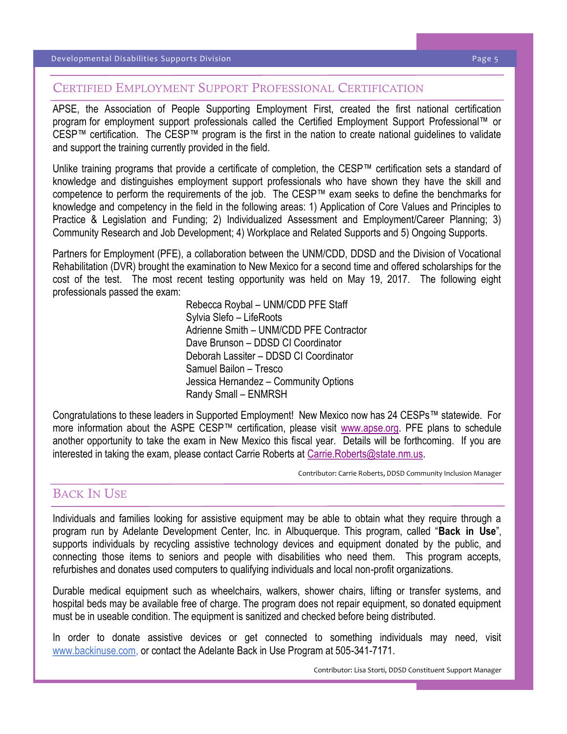# CERTIFIED EMPLOYMENT SUPPORT PROFESSIONAL CERTIFICATION

APSE, the Association of People Supporting Employment First, created the first national certification program for employment support professionals called the Certified Employment Support Professional™ or CESP™ certification. The CESP™ program is the first in the nation to create national guidelines to validate and support the training currently provided in the field.

Unlike training programs that provide a certificate of completion, the CESP™ certification sets a standard of knowledge and distinguishes employment support professionals who have shown they have the skill and competence to perform the requirements of the job. The CESP™ exam seeks to define the benchmarks for knowledge and competency in the field in the following areas: 1) Application of Core Values and Principles to Practice & Legislation and Funding; 2) Individualized Assessment and Employment/Career Planning; 3) Community Research and Job Development; 4) Workplace and Related Supports and 5) Ongoing Supports.

Partners for Employment (PFE), a collaboration between the UNM/CDD, DDSD and the Division of Vocational Rehabilitation (DVR) brought the examination to New Mexico for a second time and offered scholarships for the cost of the test. The most recent testing opportunity was held on May 19, 2017. The following eight professionals passed the exam:

Rebecca Roybal – UNM/CDD PFE Staff Sylvia Slefo – LifeRoots Adrienne Smith – UNM/CDD PFE Contractor Dave Brunson – DDSD CI Coordinator Deborah Lassiter – DDSD CI Coordinator Samuel Bailon – Tresco Jessica Hernandez – Community Options Randy Small – ENMRSH

Congratulations to these leaders in Supported Employment! New Mexico now has 24 CESPs™ statewide. For more information about the ASPE CESP™ certification, please visit [www.apse.org.](http://www.apse.org) PFE plans to schedule another opportunity to take the exam in New Mexico this fiscal year. Details will be forthcoming. If you are interested in taking the exam, please contact Carrie Roberts at [Carrie.Roberts@state.nm.us.](mailto:Carrie.Roberts@state.nm.us)

Contributor: Carrie Roberts, DDSD Community Inclusion Manager

# BACK IN USE

Individuals and families looking for assistive equipment may be able to obtain what they require through a program run by Adelante Development Center, Inc. in Albuquerque. This program, called "**Back in Use**", supports individuals by recycling assistive technology devices and equipment donated by the public, and connecting those items to seniors and people with disabilities who need them. This program accepts, refurbishes and donates used computers to qualifying individuals and local non-profit organizations.

Durable medical equipment such as wheelchairs, walkers, shower chairs, lifting or transfer systems, and hospital beds may be available free of charge. The program does not repair equipment, so donated equipment must be in useable condition. The equipment is sanitized and checked before being distributed.

In order to donate assistive devices or get connected to something individuals may need, visit [www.backinuse.com,](http://www.backinuse.com/) or contact the Adelante Back in Use Program at 505-341-7171.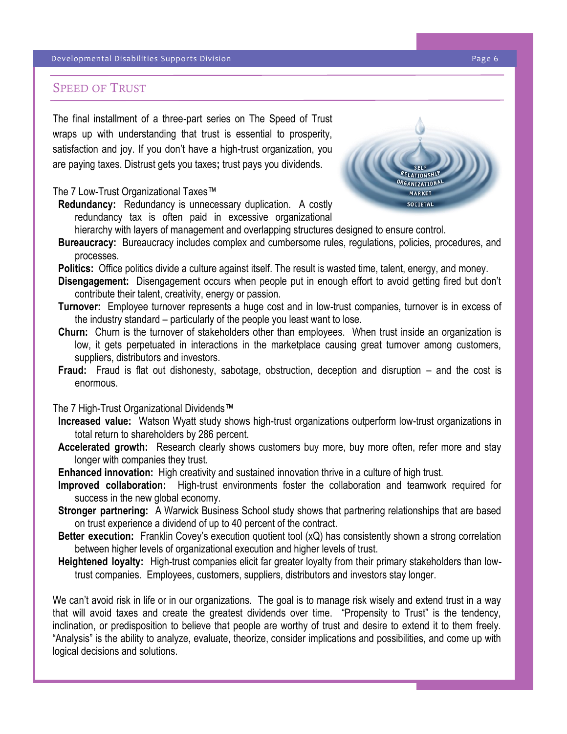# SPEED OF TRUST

The final installment of a three-part series on The Speed of Trust wraps up with understanding that trust is essential to prosperity, satisfaction and joy. If you don't have a high-trust organization, you are paying taxes. Distrust gets you taxes**;** trust pays you dividends.

### The 7 Low-Trust Organizational Taxes™

**Redundancy:** Redundancy is unnecessary duplication. A costly redundancy tax is often paid in excessive organizational hierarchy with layers of management and overlapping structures designed to ensure control.



- **Bureaucracy:** Bureaucracy includes complex and cumbersome rules, regulations, policies, procedures, and processes.
- **Politics:** Office politics divide a culture against itself. The result is wasted time, talent, energy, and money.
- **Disengagement:** Disengagement occurs when people put in enough effort to avoid getting fired but don't contribute their talent, creativity, energy or passion.
- **Turnover:** Employee turnover represents a huge cost and in low-trust companies, turnover is in excess of the industry standard – particularly of the people you least want to lose.
- **Churn:** Churn is the turnover of stakeholders other than employees. When trust inside an organization is low, it gets perpetuated in interactions in the marketplace causing great turnover among customers, suppliers, distributors and investors.
- **Fraud:** Fraud is flat out dishonesty, sabotage, obstruction, deception and disruption and the cost is enormous.

#### The 7 High-Trust Organizational Dividends™

- **Increased value:** Watson Wyatt study shows high-trust organizations outperform low-trust organizations in total return to shareholders by 286 percent.
- **Accelerated growth:** Research clearly shows customers buy more, buy more often, refer more and stay longer with companies they trust.
- **Enhanced innovation:** High creativity and sustained innovation thrive in a culture of high trust.
- **Improved collaboration:** High-trust environments foster the collaboration and teamwork required for success in the new global economy.
- **Stronger partnering:** A Warwick Business School study shows that partnering relationships that are based on trust experience a dividend of up to 40 percent of the contract.
- **Better execution:** Franklin Covey's execution quotient tool (xQ) has consistently shown a strong correlation between higher levels of organizational execution and higher levels of trust.
- **Heightened loyalty:** High-trust companies elicit far greater loyalty from their primary stakeholders than lowtrust companies. Employees, customers, suppliers, distributors and investors stay longer.

We can't avoid risk in life or in our organizations. The goal is to manage risk wisely and extend trust in a way that will avoid taxes and create the greatest dividends over time. "Propensity to Trust" is the tendency, inclination, or predisposition to believe that people are worthy of trust and desire to extend it to them freely. "Analysis" is the ability to analyze, evaluate, theorize, consider implications and possibilities, and come up with logical decisions and solutions.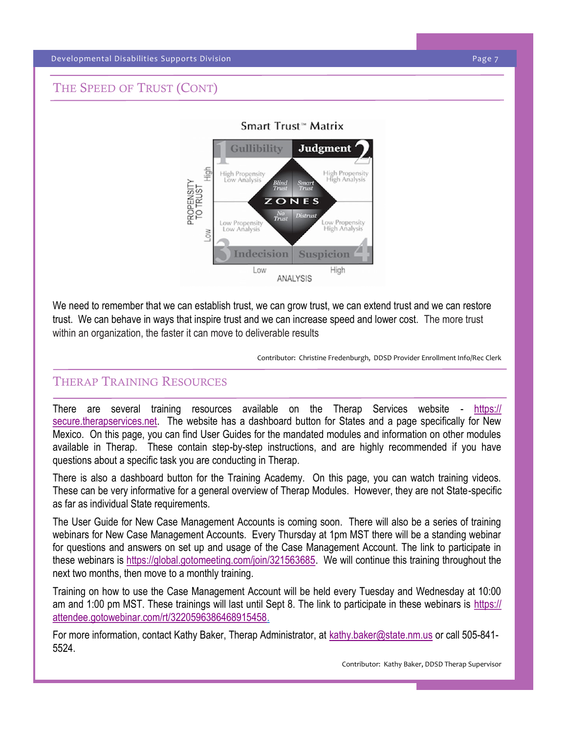#### Developmental Disabilities Supports Division Page 7

# THE SPEED OF TRUST (CONT)



We need to remember that we can establish trust, we can grow trust, we can extend trust and we can restore trust. We can behave in ways that inspire trust and we can increase speed and lower cost. The more trust within an organization, the faster it can move to deliverable results

Contributor: Christine Fredenburgh, DDSD Provider Enrollment Info/Rec Clerk

# THERAP TRAINING RESOURCES

There are several training resources available on the Therap Services website - [https://](https://secure.therapservices.net) [secure.therapservices.net.](https://secure.therapservices.net) The website has a dashboard button for States and a page specifically for New Mexico. On this page, you can find User Guides for the mandated modules and information on other modules available in Therap. These contain step-by-step instructions, and are highly recommended if you have questions about a specific task you are conducting in Therap.

There is also a dashboard button for the Training Academy. On this page, you can watch training videos. These can be very informative for a general overview of Therap Modules. However, they are not State-specific as far as individual State requirements.

The User Guide for New Case Management Accounts is coming soon. There will also be a series of training webinars for New Case Management Accounts. Every Thursday at 1pm MST there will be a standing webinar for questions and answers on set up and usage of the Case Management Account. The link to participate in these webinars is [https://global.gotomeeting.com/join/321563685.](https://global.gotomeeting.com/join/321563685) We will continue this training throughout the next two months, then move to a monthly training.

Training on how to use the Case Management Account will be held every Tuesday and Wednesday at 10:00 am and 1:00 pm MST. These trainings will last until Sept 8. The link to participate in these webinars is [https://](https://attendee.gotowebinar.com/rt/3220596386468915458) [attendee.gotowebinar.com/rt/3220596386468915458.](https://attendee.gotowebinar.com/rt/3220596386468915458)

For more information, contact Kathy Baker, Therap Administrator, at [kathy.baker@state.nm.us](mailto:kathy.baker@state.nm.us) or call 505-841- 5524.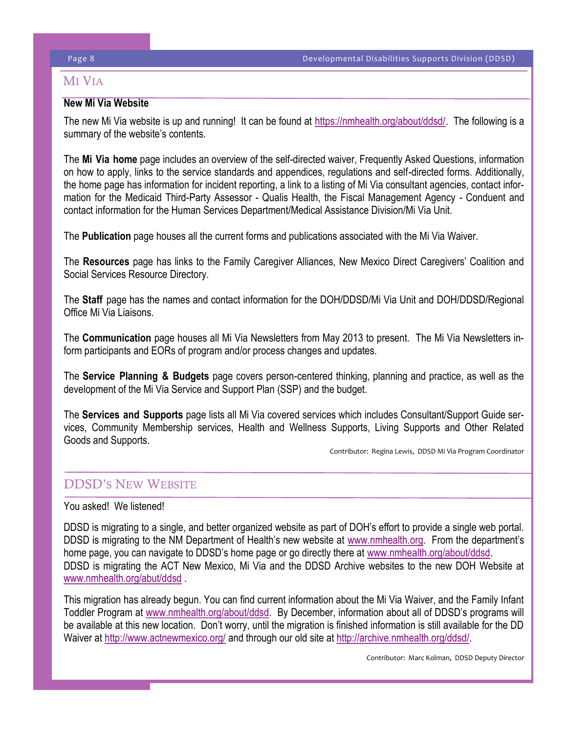# **MI VIA**

# **New Mi Via Website**

The new Mi Via website is up and running! It can be found at [https://nmhealth.org/about/ddsd/.](https://nmhealth.org/about/ddsd/) The following is a summary of the website's contents.

The **Mi Via home** page includes an overview of the self-directed waiver, Frequently Asked Questions, information on how to apply, links to the service standards and appendices, regulations and self-directed forms. Additionally, the home page has information for incident reporting, a link to a listing of Mi Via consultant agencies, contact information for the Medicaid Third-Party Assessor - Qualis Health, the Fiscal Management Agency - Conduent and contact information for the Human Services Department/Medical Assistance Division/Mi Via Unit.

The **Publication** page houses all the current forms and publications associated with the Mi Via Waiver.

The **Resources** page has links to the Family Caregiver Alliances, New Mexico Direct Caregivers' Coalition and Social Services Resource Directory.

The **Staff** page has the names and contact information for the DOH/DDSD/Mi Via Unit and DOH/DDSD/Regional Office Mi Via Liaisons.

The **Communication** page houses all Mi Via Newsletters from May 2013 to present. The Mi Via Newsletters inform participants and EORs of program and/or process changes and updates.

The **Service Planning & Budgets** page covers person-centered thinking, planning and practice, as well as the development of the Mi Via Service and Support Plan (SSP) and the budget.

The **Services and Supports** page lists all Mi Via covered services which includes Consultant/Support Guide services, Community Membership services, Health and Wellness Supports, Living Supports and Other Related Goods and Supports.

Contributor: Regina Lewis, DDSD Mi Via Program Coordinator

# DDSD'S NEW WEBSITE

# You asked! We listened!

DDSD is migrating to a single, and better organized website as part of DOH's effort to provide a single web portal. DDSD is migrating to the NM Department of Health's new website at [www.nmhealth.org](http://www.nmhealth.org). From the department's home page, you can navigate to DDSD's home page or go directly there at [www.nmhealth.org/about/ddsd.](http://www.nmhealth.org/about/ddsd) DDSD is migrating the ACT New Mexico, Mi Via and the DDSD Archive websites to the new DOH Website at [www.nmhealth.org/abut/ddsd](http://www.nmhealth.org/abut/ddsd) .

This migration has already begun. You can find current information about the Mi Via Waiver, and the Family Infant Toddler Program at [www.nmhealth.org/about/ddsd](http://www.nmhealth.org/about/ddsd). By December, information about all of DDSD's programs will be available at this new location. Don't worry, until the migration is finished information is still available for the DD Waiver at<http://www.actnewmexico.org/> and through our old site at [http://archive.nmhealth.org/ddsd/.](http://archive.nmhealth.org/ddsd/) 

Contributor: Marc Kolman, DDSD Deputy Director